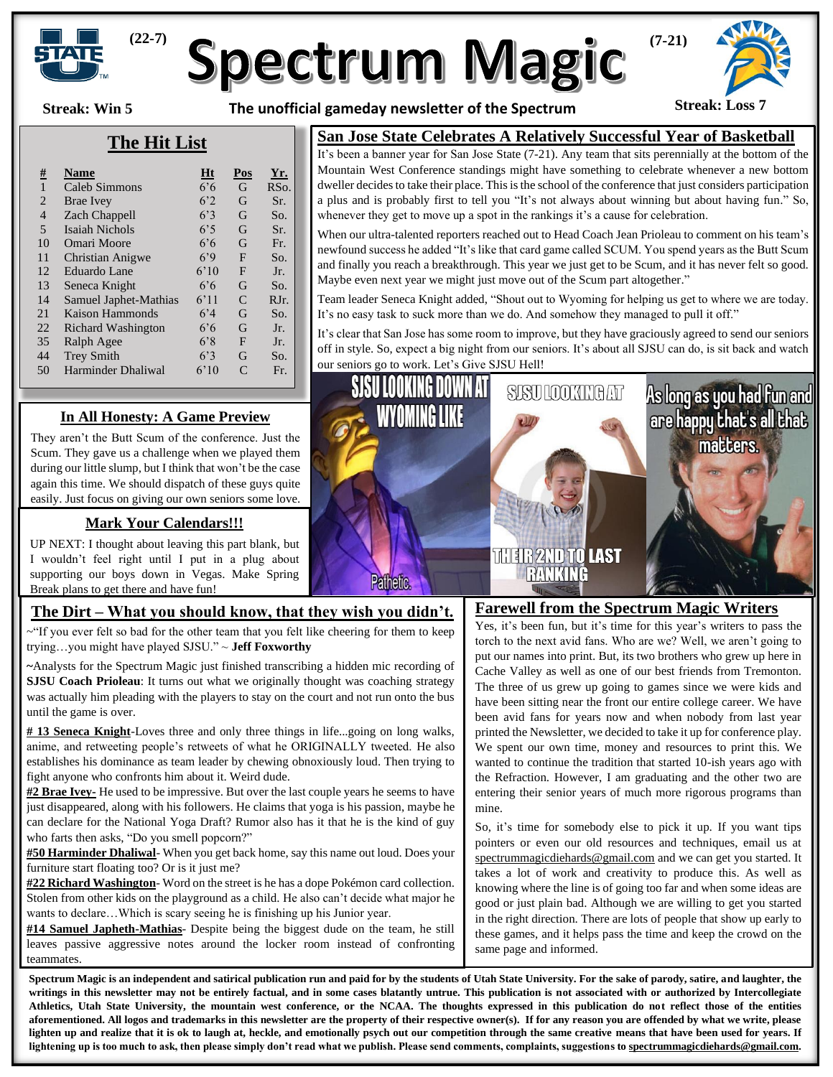

# **Spectrum Magic**

**Streak: Win 5**

**The unofficial gameday newsletter of the Spectrum Streak: Loss 7**



### **The Hit List**

| $\frac{\#}{4}$ | <b>Name</b>             | Ht             | Pos       | <u>Yr.</u>      |
|----------------|-------------------------|----------------|-----------|-----------------|
| $\mathbf{1}$   | Caleb Simmons           | $6.6^{\circ}$  | G         | RS <sub>O</sub> |
| $\overline{2}$ | Brae Ivey               | 6 <sup>2</sup> | G         | Sr.             |
| 4              | Zach Chappell           | 6.3            | G         | So.             |
| 5              | <b>Isaiah Nichols</b>   | 6.5            | G         | Sr.             |
| 10             | Omari Moore             | $6.6^{\circ}$  | G         | Fr.             |
| 11             | <b>Christian Anigwe</b> | 6,9            | F         | So.             |
| 12             | Eduardo Lane            | 6'10           | F         | Jr.             |
| 13             | Seneca Knight           | $6.6^{\circ}$  | G         | So.             |
| 14             | Samuel Japhet-Mathias   | 6'11           | C         | $RJr$ .         |
| 21             | Kaison Hammonds         | 6'4            | G         | So.             |
| 22             | Richard Washington      | $6.6^{\circ}$  | G         | Jr.             |
| 35             | Ralph Agee              | 6'8            | F         | Jr.             |
| 44             | <b>Trey Smith</b>       | 6.3            | G         | So.             |
| 50             | Harminder Dhaliwal      | 6'10           | $\subset$ | Fr.             |
|                |                         |                |           |                 |

#### **San Jose State Celebrates A Relatively Successful Year of Basketball**

It's been a banner year for San Jose State (7-21). Any team that sits perennially at the bottom of the Mountain West Conference standings might have something to celebrate whenever a new bottom dweller decides to take their place. This is the school of the conference that just considers participation a plus and is probably first to tell you "It's not always about winning but about having fun." So, whenever they get to move up a spot in the rankings it's a cause for celebration.

When our ultra-talented reporters reached out to Head Coach Jean Prioleau to comment on his team's newfound success he added "It's like that card game called SCUM. You spend years as the Butt Scum and finally you reach a breakthrough. This year we just get to be Scum, and it has never felt so good. Maybe even next year we might just move out of the Scum part altogether."

Team leader Seneca Knight added, "Shout out to Wyoming for helping us get to where we are today. It's no easy task to suck more than we do. And somehow they managed to pull it off."

It's clear that San Jose has some room to improve, but they have graciously agreed to send our seniors off in style. So, expect a big night from our seniors. It's about all SJSU can do, is sit back and watch our seniors go to work. Let's Give SJSU Hell!

#### **In All Honesty: A Game Preview**

They aren't the Butt Scum of the conference. Just the Scum. They gave us a challenge when we played them during our little slump, but I think that won't be the case again this time. We should dispatch of these guys quite easily. Just focus on giving our own seniors some love.

#### **Mark Your Calendars!!!**

UP NEXT: I thought about leaving this part blank, but I wouldn't feel right until I put in a plug about supporting our boys down in Vegas. Make Spring Break plans to get there and have fun!

## **The Dirt – What you should know, that they wish you didn't.**

~"If you ever felt so bad for the other team that you felt like cheering for them to keep trying…you might have played SJSU." ~ **Jeff Foxworthy**

**~**Analysts for the Spectrum Magic just finished transcribing a hidden mic recording of **SJSU Coach Prioleau**: It turns out what we originally thought was coaching strategy was actually him pleading with the players to stay on the court and not run onto the bus until the game is over.

**# 13 Seneca Knight**-Loves three and only three things in life...going on long walks, anime, and retweeting people's retweets of what he ORIGINALLY tweeted. He also establishes his dominance as team leader by chewing obnoxiously loud. Then trying to fight anyone who confronts him about it. Weird dude.

**#2 Brae Ivey-** He used to be impressive. But over the last couple years he seems to have just disappeared, along with his followers. He claims that yoga is his passion, maybe he can declare for the National Yoga Draft? Rumor also has it that he is the kind of guy who farts then asks, "Do you smell popcorn?"

**#50 Harminder Dhaliwal**- When you get back home, say this name out loud. Does your furniture start floating too? Or is it just me?

**#22 Richard Washington**- Word on the street is he has a dope Pokémon card collection. Stolen from other kids on the playground as a child. He also can't decide what major he wants to declare…Which is scary seeing he is finishing up his Junior year.

**#14 Samuel Japheth-Mathias**- Despite being the biggest dude on the team, he still leaves passive aggressive notes around the locker room instead of confronting teammates.



#### **Farewell from the Spectrum Magic Writers**

Yes, it's been fun, but it's time for this year's writers to pass the torch to the next avid fans. Who are we? Well, we aren't going to put our names into print. But, its two brothers who grew up here in Cache Valley as well as one of our best friends from Tremonton. The three of us grew up going to games since we were kids and have been sitting near the front our entire college career. We have been avid fans for years now and when nobody from last year printed the Newsletter, we decided to take it up for conference play. We spent our own time, money and resources to print this. We wanted to continue the tradition that started 10-ish years ago with the Refraction. However, I am graduating and the other two are entering their senior years of much more rigorous programs than mine.

So, it's time for somebody else to pick it up. If you want tips pointers or even our old resources and techniques, email us at [spectrummagicdiehards@gmail.com](mailto:spectrummagicdiehards@gmail.com) and we can get you started. It takes a lot of work and creativity to produce this. As well as knowing where the line is of going too far and when some ideas are good or just plain bad. Although we are willing to get you started in the right direction. There are lots of people that show up early to these games, and it helps pass the time and keep the crowd on the same page and informed.

**Spectrum Magic is an independent and satirical publication run and paid for by the students of Utah State University. For the sake of parody, satire, and laughter, the**  writings in this newsletter may not be entirely factual, and in some cases blatantly untrue. This publication is not associated with or authorized by Intercollegiate **Athletics, Utah State University, the mountain west conference, or the NCAA. The thoughts expressed in this publication do not reflect those of the entities aforementioned. All logos and trademarks in this newsletter are the property of their respective owner(s). If for any reason you are offended by what we write, please lighten up and realize that it is ok to laugh at, heckle, and emotionally psych out our competition through the same creative means that have been used for years. If lightening up is too much to ask, then please simply don't read what we publish. Please send comments, complaints, suggestions t[o spectrummagicdiehards@gmail.com.](mailto:spectrummagicdiehards@gmail.com)**